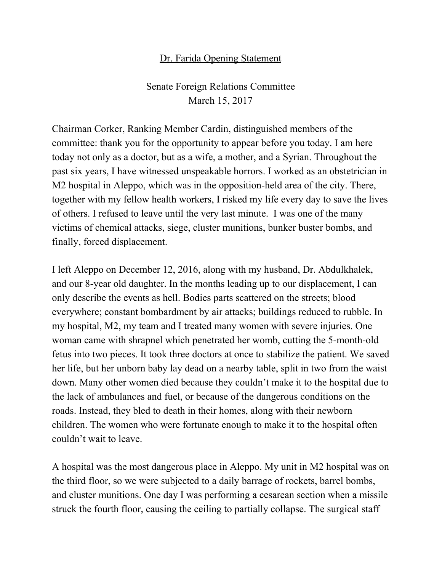## Dr. Farida Opening Statement

Senate Foreign Relations Committee March 15, 2017

Chairman Corker, Ranking Member Cardin, distinguished members of the committee: thank you for the opportunity to appear before you today. I am here today not only as a doctor, but as a wife, a mother, and a Syrian. Throughout the past six years, I have witnessed unspeakable horrors. I worked as an obstetrician in M2 hospital in Aleppo, which was in the opposition-held area of the city. There, together with my fellow health workers, I risked my life every day to save the lives of others. I refused to leave until the very last minute. I was one of the many victims of chemical attacks, siege, cluster munitions, bunker buster bombs, and finally, forced displacement.

I left Aleppo on December 12, 2016, along with my husband, Dr. Abdulkhalek, and our 8-year old daughter. In the months leading up to our displacement, I can only describe the events as hell. Bodies parts scattered on the streets; blood everywhere; constant bombardment by air attacks; buildings reduced to rubble. In my hospital, M2, my team and I treated many women with severe injuries. One woman came with shrapnel which penetrated her womb, cutting the 5-month-old fetus into two pieces. It took three doctors at once to stabilize the patient. We saved her life, but her unborn baby lay dead on a nearby table, split in two from the waist down. Many other women died because they couldn't make it to the hospital due to the lack of ambulances and fuel, or because of the dangerous conditions on the roads. Instead, they bled to death in their homes, along with their newborn children. The women who were fortunate enough to make it to the hospital often couldn't wait to leave.

A hospital was the most dangerous place in Aleppo. My unit in M2 hospital was on the third floor, so we were subjected to a daily barrage of rockets, barrel bombs, and cluster munitions. One day I was performing a cesarean section when a missile struck the fourth floor, causing the ceiling to partially collapse. The surgical staff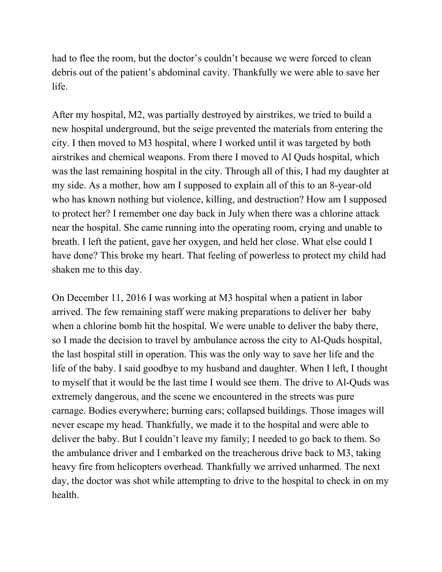had to flee the room, but the doctor's couldn't because we were forced to clean debris out of the patient's abdominal cavity. Thankfully we were able to save her life.

After my hospital, M2, was partially destroyed by airstrikes, we tried to build a new hospital underground, but the seige prevented the materials from entering the city. I then moved to M3 hospital, where I worked until it was targeted by both airstrikes and chemical weapons. From there I moved to Al Quds hospital, which was the last remaining hospital in the city. Through all of this, I had my daughter at my side. As a mother, how am I supposed to explain all of this to an 8-year-old who has known nothing but violence, killing, and destruction? How am I supposed to protect her? I remember one day back in July when there was a chlorine attack near the hospital. She came running into the operating room, crying and unable to breath. I left the patient, gave her oxygen, and held her close. What else could I have done? This broke my heart. That feeling of powerless to protect my child had shaken me to this day.

On December 11, 2016 I was working at M3 hospital when a patient in labor arrived. The few remaining staff were making preparations to deliver her baby when a chlorine bomb hit the hospital. We were unable to deliver the baby there, so I made the decision to travel by ambulance across the city to Al-Quds hospital, the last hospital still in operation. This was the only way to save her life and the life of the baby. I said goodbye to my husband and daughter. When I left, I thought to myself that it would be the last time I would see them. The drive to Al-Quds was extremely dangerous, and the scene we encountered in the streets was pure carnage. Bodies everywhere; burning cars; collapsed buildings. Those images will never escape my head. Thankfully, we made it to the hospital and were able to deliver the baby. But I couldn't leave my family; I needed to go back to them. So the ambulance driver and I embarked on the treacherous drive back to M3, taking heavy fire from helicopters overhead. Thankfully we arrived unharmed. The next day, the doctor was shot while attempting to drive to the hospital to check in on my health.